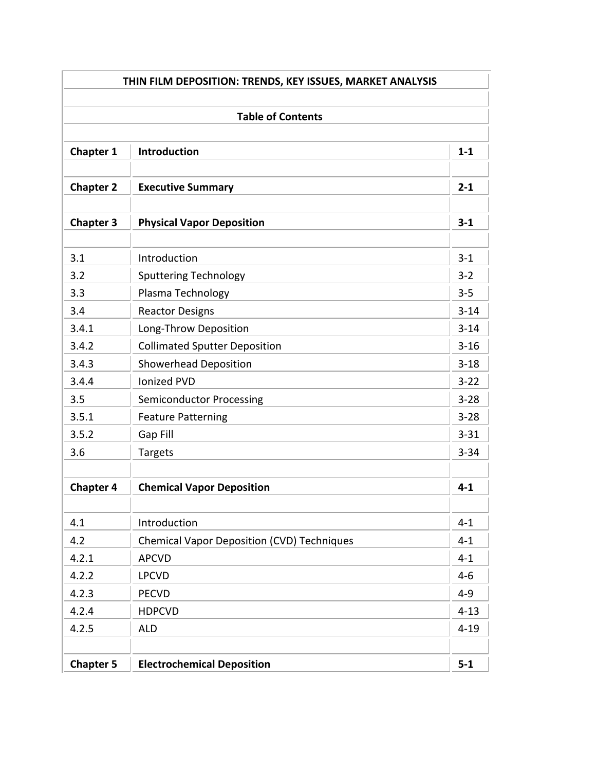| THIN FILM DEPOSITION: TRENDS, KEY ISSUES, MARKET ANALYSIS<br><b>Table of Contents</b> |                                                   |          |  |  |
|---------------------------------------------------------------------------------------|---------------------------------------------------|----------|--|--|
|                                                                                       |                                                   |          |  |  |
| <b>Chapter 2</b>                                                                      | <b>Executive Summary</b>                          | $2 - 1$  |  |  |
| <b>Chapter 3</b>                                                                      | <b>Physical Vapor Deposition</b>                  | $3 - 1$  |  |  |
| 3.1                                                                                   | Introduction                                      | $3 - 1$  |  |  |
| 3.2                                                                                   | <b>Sputtering Technology</b>                      | $3 - 2$  |  |  |
| 3.3                                                                                   | Plasma Technology                                 | $3 - 5$  |  |  |
| 3.4                                                                                   | <b>Reactor Designs</b>                            | $3 - 14$ |  |  |
| 3.4.1                                                                                 | Long-Throw Deposition                             | $3 - 14$ |  |  |
| 3.4.2                                                                                 | <b>Collimated Sputter Deposition</b>              | $3 - 16$ |  |  |
| 3.4.3                                                                                 | <b>Showerhead Deposition</b>                      | $3 - 18$ |  |  |
| 3.4.4                                                                                 | <b>Ionized PVD</b>                                | $3 - 22$ |  |  |
| 3.5                                                                                   | <b>Semiconductor Processing</b>                   | $3 - 28$ |  |  |
| 3.5.1                                                                                 | <b>Feature Patterning</b>                         | $3 - 28$ |  |  |
| 3.5.2                                                                                 | Gap Fill                                          | $3 - 31$ |  |  |
| 3.6                                                                                   | Targets                                           | $3 - 34$ |  |  |
| <b>Chapter 4</b>                                                                      | <b>Chemical Vapor Deposition</b>                  | $4 - 1$  |  |  |
| 4.1                                                                                   | Introduction                                      | $4 - 1$  |  |  |
| 4.2                                                                                   | <b>Chemical Vapor Deposition (CVD) Techniques</b> | $4 - 1$  |  |  |
| 4.2.1                                                                                 | <b>APCVD</b>                                      | $4 - 1$  |  |  |
| 4.2.2                                                                                 | <b>LPCVD</b>                                      | $4 - 6$  |  |  |
| 4.2.3                                                                                 | <b>PECVD</b>                                      | $4 - 9$  |  |  |
| 4.2.4                                                                                 | <b>HDPCVD</b>                                     | $4 - 13$ |  |  |
| 4.2.5                                                                                 | <b>ALD</b>                                        | $4 - 19$ |  |  |
| <b>Chapter 5</b>                                                                      | <b>Electrochemical Deposition</b>                 | $5-1$    |  |  |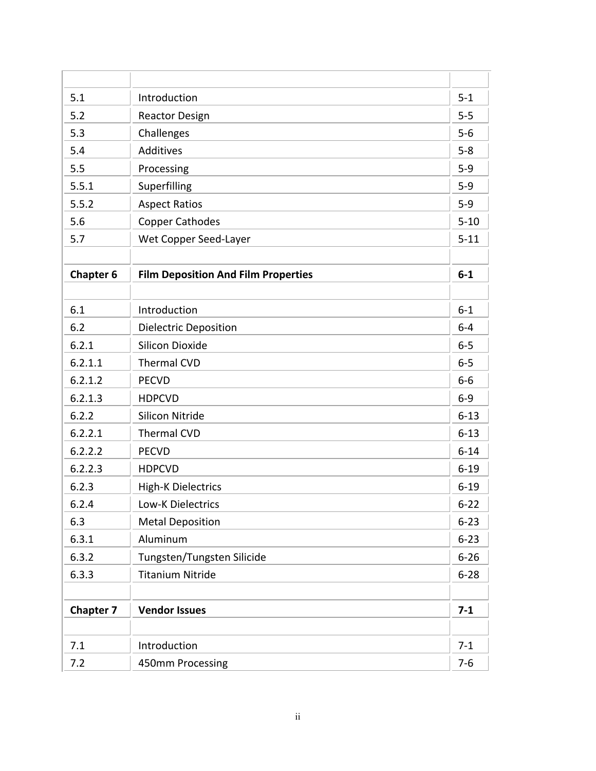| 5.1              | Introduction                               | $5 - 1$  |
|------------------|--------------------------------------------|----------|
| 5.2              | <b>Reactor Design</b>                      | $5-5$    |
| 5.3              | Challenges                                 | $5-6$    |
| 5.4              | <b>Additives</b>                           | $5 - 8$  |
| 5.5              | Processing                                 | $5-9$    |
| 5.5.1            | Superfilling                               | $5 - 9$  |
| 5.5.2            | <b>Aspect Ratios</b>                       | $5 - 9$  |
| 5.6              | <b>Copper Cathodes</b>                     | $5 - 10$ |
| 5.7              | Wet Copper Seed-Layer                      | $5 - 11$ |
|                  |                                            |          |
| <b>Chapter 6</b> | <b>Film Deposition And Film Properties</b> | $6-1$    |
|                  |                                            |          |
| 6.1              | Introduction                               | $6 - 1$  |
| 6.2              | <b>Dielectric Deposition</b>               | $6 - 4$  |
| 6.2.1            | <b>Silicon Dioxide</b>                     | $6-5$    |
| 6.2.1.1          | <b>Thermal CVD</b>                         | $6-5$    |
| 6.2.1.2          | <b>PECVD</b>                               | $6-6$    |
| 6.2.1.3          | <b>HDPCVD</b>                              | $6 - 9$  |
| 6.2.2            | <b>Silicon Nitride</b>                     | $6 - 13$ |
| 6.2.2.1          | <b>Thermal CVD</b>                         | $6 - 13$ |
| 6.2.2.2          | <b>PECVD</b>                               | $6 - 14$ |
| 6.2.2.3          | <b>HDPCVD</b>                              | $6 - 19$ |
| 6.2.3            | <b>High-K Dielectrics</b>                  | $6 - 19$ |
| 6.2.4            | <b>Low-K Dielectrics</b>                   | $6 - 22$ |
| 6.3              | <b>Metal Deposition</b>                    | $6 - 23$ |
| 6.3.1            | Aluminum                                   | $6 - 23$ |
| 6.3.2            | Tungsten/Tungsten Silicide                 | $6 - 26$ |
| 6.3.3            | <b>Titanium Nitride</b>                    | $6 - 28$ |
|                  |                                            |          |
| <b>Chapter 7</b> | <b>Vendor Issues</b>                       | $7 - 1$  |
|                  |                                            |          |
| 7.1              | Introduction                               | $7 - 1$  |
| 7.2              | 450mm Processing                           | $7-6$    |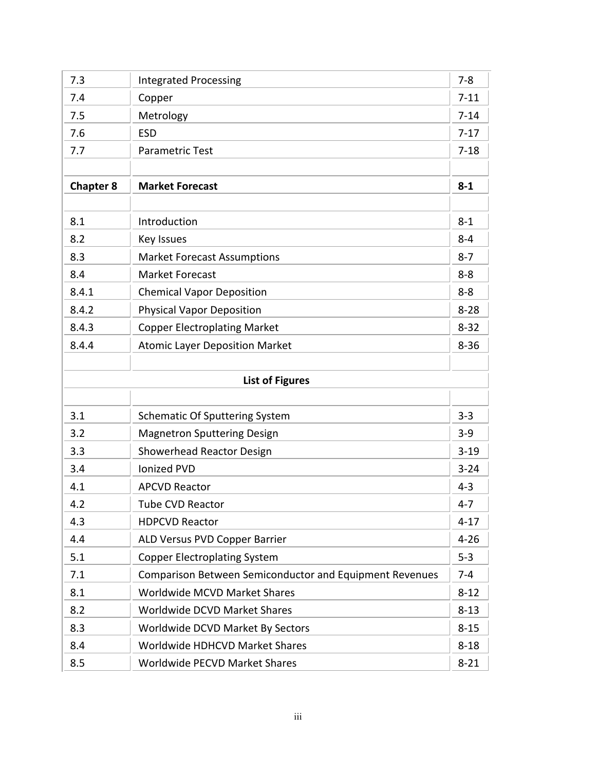| 7.3                    | <b>Integrated Processing</b>                                   | $7 - 8$  |  |  |
|------------------------|----------------------------------------------------------------|----------|--|--|
| 7.4                    | Copper                                                         | $7 - 11$ |  |  |
| 7.5                    | Metrology                                                      | $7 - 14$ |  |  |
| 7.6                    | <b>ESD</b>                                                     | $7 - 17$ |  |  |
| 7.7                    | Parametric Test                                                | $7 - 18$ |  |  |
|                        |                                                                |          |  |  |
| <b>Chapter 8</b>       | <b>Market Forecast</b>                                         | $8 - 1$  |  |  |
|                        |                                                                |          |  |  |
| 8.1                    | Introduction                                                   | $8 - 1$  |  |  |
| 8.2                    | <b>Key Issues</b>                                              | $8 - 4$  |  |  |
| 8.3                    | <b>Market Forecast Assumptions</b>                             | $8 - 7$  |  |  |
| 8.4                    | <b>Market Forecast</b>                                         | $8 - 8$  |  |  |
| 8.4.1                  | <b>Chemical Vapor Deposition</b>                               | $8 - 8$  |  |  |
| 8.4.2                  | <b>Physical Vapor Deposition</b>                               | $8 - 28$ |  |  |
| 8.4.3                  | <b>Copper Electroplating Market</b>                            | $8 - 32$ |  |  |
| 8.4.4                  | <b>Atomic Layer Deposition Market</b>                          | $8 - 36$ |  |  |
|                        |                                                                |          |  |  |
| <b>List of Figures</b> |                                                                |          |  |  |
|                        |                                                                |          |  |  |
| 3.1                    | <b>Schematic Of Sputtering System</b>                          | $3 - 3$  |  |  |
| 3.2                    | <b>Magnetron Sputtering Design</b>                             | $3 - 9$  |  |  |
| 3.3                    | Showerhead Reactor Design                                      | $3 - 19$ |  |  |
| 3.4                    | <b>Ionized PVD</b>                                             | $3 - 24$ |  |  |
| 4.1                    | <b>APCVD Reactor</b>                                           | $4 - 3$  |  |  |
| 4.2                    | <b>Tube CVD Reactor</b>                                        | $4 - 7$  |  |  |
| 4.3                    | <b>HDPCVD Reactor</b>                                          | $4 - 17$ |  |  |
| 4.4                    | ALD Versus PVD Copper Barrier                                  | $4 - 26$ |  |  |
| 5.1                    | <b>Copper Electroplating System</b>                            | $5-3$    |  |  |
| 7.1                    | <b>Comparison Between Semiconductor and Equipment Revenues</b> | $7 - 4$  |  |  |
| 8.1                    | <b>Worldwide MCVD Market Shares</b>                            | $8 - 12$ |  |  |
| 8.2                    | Worldwide DCVD Market Shares                                   | $8 - 13$ |  |  |
| 8.3                    | Worldwide DCVD Market By Sectors                               | $8 - 15$ |  |  |
| 8.4                    | Worldwide HDHCVD Market Shares                                 | $8 - 18$ |  |  |
| 8.5                    | Worldwide PECVD Market Shares                                  | $8 - 21$ |  |  |